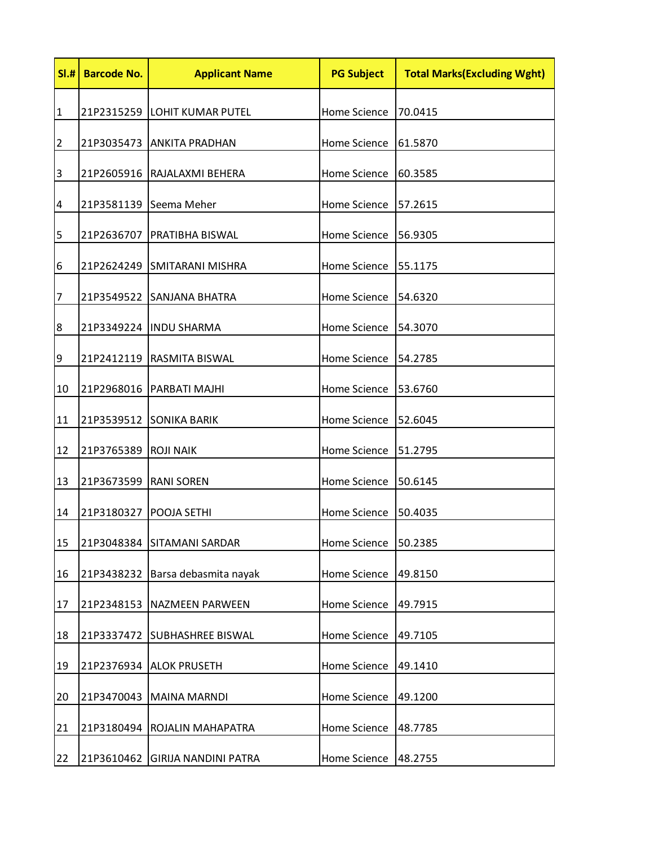| SI.H           | <b>Barcode No.</b>      | <b>Applicant Name</b>            | <b>PG Subject</b>    | <b>Total Marks(Excluding Wght)</b> |
|----------------|-------------------------|----------------------------------|----------------------|------------------------------------|
| $\mathbf{1}$   |                         | 21P2315259 LOHIT KUMAR PUTEL     | Home Science         | 70.0415                            |
| $\overline{2}$ |                         | 21P3035473 ANKITA PRADHAN        | Home Science         | 61.5870                            |
| 3              |                         | 21P2605916  RAJALAXMI BEHERA     | Home Science         | 60.3585                            |
| 4              |                         | 21P3581139 Seema Meher           | Home Science         | 57.2615                            |
| 5              |                         | 21P2636707   PRATIBHA BISWAL     | Home Science         | 56.9305                            |
| 6              |                         | 21P2624249 SMITARANI MISHRA      | Home Science 55.1175 |                                    |
| 7              |                         | 21P3549522 SANJANA BHATRA        | Home Science 54.6320 |                                    |
| 8              |                         | 21P3349224  INDU SHARMA          | Home Science         | 54.3070                            |
| 9              |                         | 21P2412119 RASMITA BISWAL        | Home Science         | 54.2785                            |
| 10             |                         | 21P2968016   PARBATI MAJHI       | Home Science         | 53.6760                            |
| 11             |                         | 21P3539512 SONIKA BARIK          | Home Science         | 52.6045                            |
| 12             | 21P3765389 ROJI NAIK    |                                  | Home Science         | 51.2795                            |
| 13             | 21P3673599   RANI SOREN |                                  | Home Science         | 50.6145                            |
| 14             | 21P3180327              | POOJA SETHI                      | Home Science         | 50.4035                            |
| 15             |                         | 21P3048384 SITAMANI SARDAR       | <b>Home Science</b>  | 50.2385                            |
| 16             |                         | 21P3438232 Barsa debasmita nayak | Home Science         | 49.8150                            |
| 17             | 21P2348153              | <b>NAZMEEN PARWEEN</b>           | <b>Home Science</b>  | 49.7915                            |
| 18             | 21P3337472              | <b>SUBHASHREE BISWAL</b>         | <b>Home Science</b>  | 49.7105                            |
| 19             | 21P2376934              | <b>ALOK PRUSETH</b>              | <b>Home Science</b>  | 49.1410                            |
| 20             | 21P3470043              | <b>MAINA MARNDI</b>              | <b>Home Science</b>  | 49.1200                            |
| 21             | 21P3180494              | ROJALIN MAHAPATRA                | Home Science         | 48.7785                            |
| 22             | 21P3610462              | <b>GIRIJA NANDINI PATRA</b>      | <b>Home Science</b>  | 48.2755                            |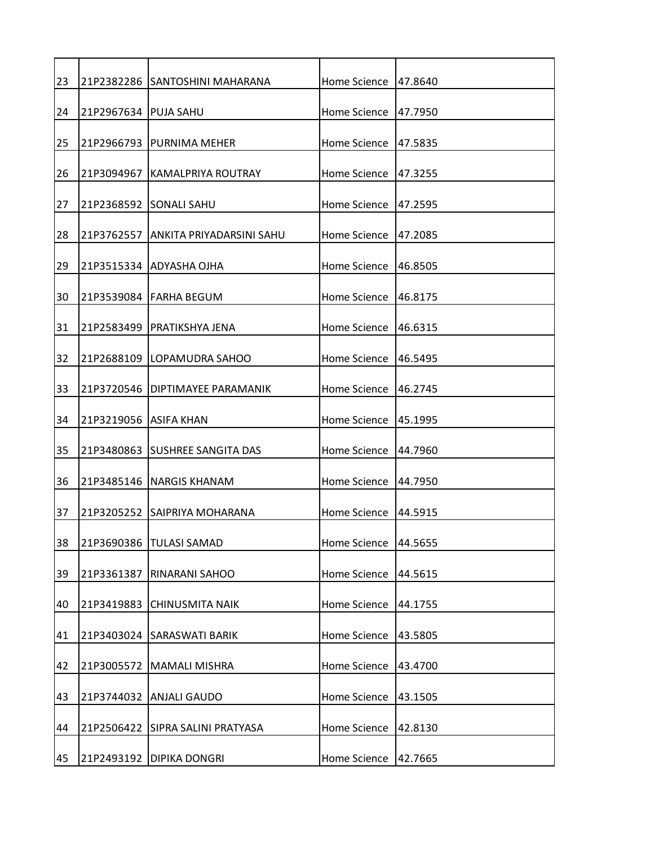| 23 |                       | 21P2382286 SANTOSHINI MAHARANA      | Home Science 47.8640   |          |
|----|-----------------------|-------------------------------------|------------------------|----------|
| 24 | 21P2967634 PUJA SAHU  |                                     | Home Science 147.7950  |          |
| 25 |                       | 21P2966793 IPURNIMA MEHER           | Home Science           | 147.5835 |
| 26 |                       | 21P3094967 KAMALPRIYA ROUTRAY       | Home Science           | 47.3255  |
| 27 |                       | 21P2368592 SONALI SAHU              | Home Science           | 47.2595  |
| 28 |                       | 21P3762557 ANKITA PRIYADARSINI SAHU | Home Science           | 47.2085  |
| 29 |                       | 21P3515334 ADYASHA OJHA             | Home Science           | 146.8505 |
| 30 |                       | l21P3539084 lFARHA BEGUM            | Home Science           | 146.8175 |
| 31 |                       | 21P2583499   PRATIKSHYA JENA        | Home Science           | 46.6315  |
| 32 |                       | 21P2688109 LOPAMUDRA SAHOO          | Home Science           | 46.5495  |
| 33 |                       | 21P3720546   DIPTIMAYEE PARAMANIK   | Home Science           | 46.2745  |
| 34 | 21P3219056 ASIFA KHAN |                                     | Home Science   45.1995 |          |
| 35 |                       | I21P3480863 ISUSHREE SANGITA DAS    | Home Science           | 144.7960 |
| 36 |                       | 21P3485146 NARGIS KHANAM            | Home Science           | 44.7950  |
| 37 |                       | 21P3205252 SAIPRIYA MOHARANA        | Home Science 44.5915   |          |
| 38 |                       | 21P3690386 TULASI SAMAD             | Home Science           | 44.5655  |
| 39 | 21P3361387            | <b>RINARANI SAHOO</b>               | Home Science           | 44.5615  |
| 40 | 21P3419883            | <b>CHINUSMITA NAIK</b>              | Home Science           | 44.1755  |
| 41 |                       | 21P3403024 SARASWATI BARIK          | Home Science           | 43.5805  |
| 42 |                       | 21P3005572 MAMALI MISHRA            | Home Science           | 43.4700  |
| 43 | 21P3744032            | <b>ANJALI GAUDO</b>                 | Home Science           | 43.1505  |
| 44 |                       | 21P2506422 SIPRA SALINI PRATYASA    | Home Science           | 42.8130  |
| 45 |                       | 21P2493192 DIPIKA DONGRI            | Home Science           | 42.7665  |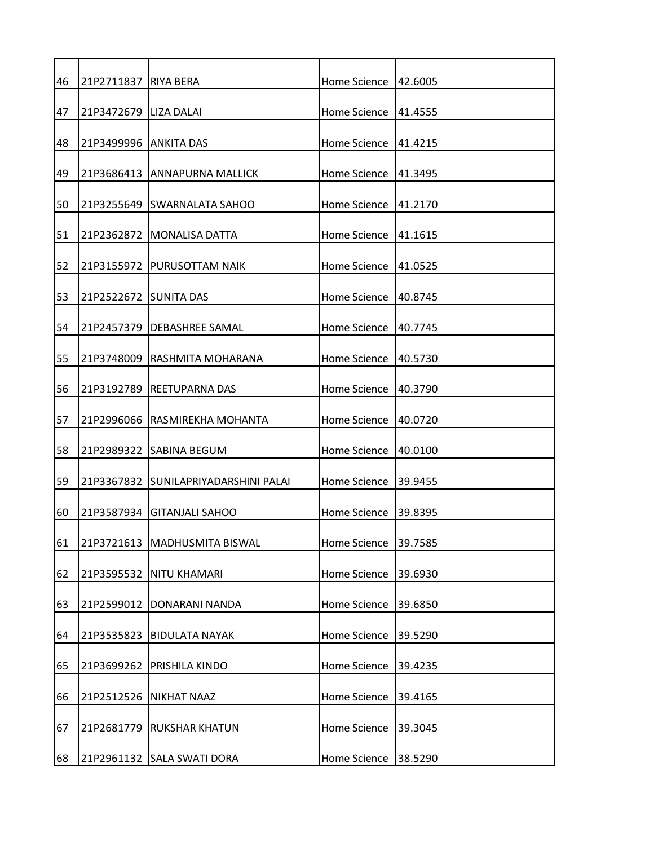| 46 | 21P2711837 RIYA BERA   |                                      | Home Science | 42.6005  |
|----|------------------------|--------------------------------------|--------------|----------|
| 47 | 21P3472679 LIZA DALAI  |                                      | Home Science | 41.4555  |
| 48 | 21P3499996  ANKITA DAS |                                      | Home Science | 141.4215 |
| 49 |                        | 21P3686413 ANNAPURNA MALLICK         | Home Science | 41.3495  |
| 50 |                        | 21P3255649 SWARNALATA SAHOO          | Home Science | 41.2170  |
| 51 |                        | 21P2362872   MONALISA DATTA          | Home Science | 141.1615 |
| 52 |                        | 21P3155972   PURUSOTTAM NAIK         | Home Science | 41.0525  |
| 53 | 21P2522672 SUNITA DAS  |                                      | Home Science | 140.8745 |
| 54 |                        | 21P2457379   DEBASHREE SAMAL         | Home Science | 40.7745  |
| 55 |                        | 21P3748009 RASHMITA MOHARANA         | Home Science | 40.5730  |
| 56 | 21P3192789             | <b>REETUPARNA DAS</b>                | Home Science | 40.3790  |
| 57 |                        | 21P2996066 RASMIREKHA MOHANTA        | Home Science | 40.0720  |
| 58 |                        | 21P2989322 SABINA BEGUM              | Home Science | 40.0100  |
| 59 |                        | 21P3367832 SUNILAPRIYADARSHINI PALAI | Home Science | 39.9455  |
| 60 |                        | 21P3587934 GITANJALI SAHOO           | Home Science | 39.8395  |
| 61 |                        | 21P3721613   MADHUSMITA BISWAL       | Home Science | 39.7585  |
| 62 |                        | 21P3595532 NITU KHAMARI              | Home Science | 39.6930  |
| 63 |                        | 21P2599012 DONARANI NANDA            | Home Science | 39.6850  |
| 64 |                        | 21P3535823 BIDULATA NAYAK            | Home Science | 39.5290  |
| 65 | 21P3699262             | <b>PRISHILA KINDO</b>                | Home Science | 39.4235  |
| 66 |                        | 21P2512526 NIKHAT NAAZ               | Home Science | 39.4165  |
| 67 | 21P2681779             | <b>RUKSHAR KHATUN</b>                | Home Science | 39.3045  |
| 68 |                        | 21P2961132 SALA SWATI DORA           | Home Science | 38.5290  |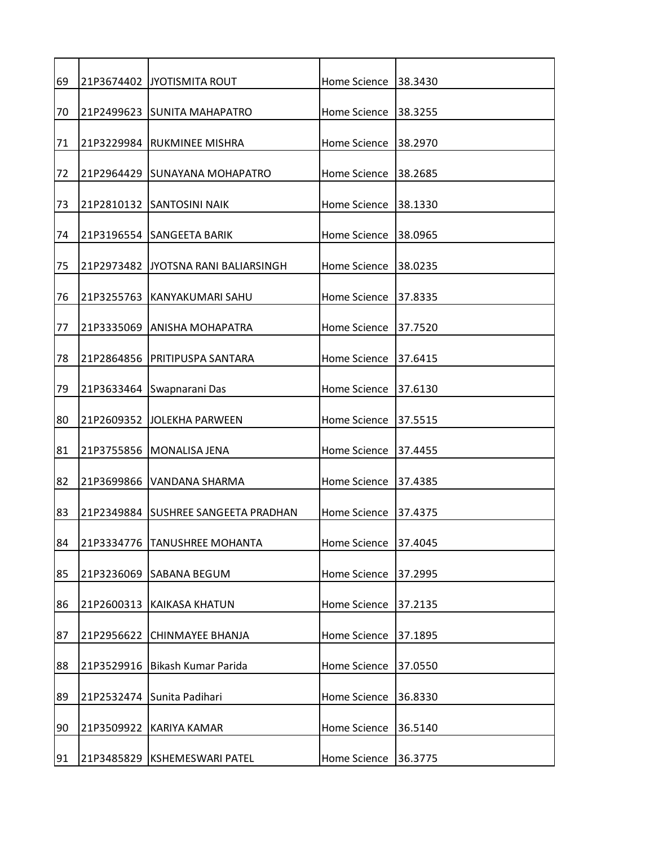| 69 |            | 21P3674402 JYOTISMITA ROUT          | Home Science        | 38.3430 |
|----|------------|-------------------------------------|---------------------|---------|
| 70 |            | 21P2499623 SUNITA MAHAPATRO         | Home Science        | 38.3255 |
| 71 |            | 21P3229984 RUKMINEE MISHRA          | Home Science        | 38.2970 |
| 72 |            | 21P2964429 SUNAYANA MOHAPATRO       | Home Science        | 38.2685 |
| 73 |            | 21P2810132 SANTOSINI NAIK           | Home Science        | 38.1330 |
| 74 |            | 21P3196554 SANGEETA BARIK           | Home Science        | 38.0965 |
| 75 | 21P2973482 | JYOTSNA RANI BALIARSINGH            | Home Science        | 38.0235 |
| 76 |            | 21P3255763 KANYAKUMARI SAHU         | Home Science        | 37.8335 |
| 77 | 21P3335069 | <b>ANISHA MOHAPATRA</b>             | Home Science        | 37.7520 |
| 78 |            | 21P2864856 PRITIPUSPA SANTARA       | Home Science        | 37.6415 |
| 79 | 21P3633464 | Swapnarani Das                      | Home Science        | 37.6130 |
| 80 | 21P2609352 | <b>JOLEKHA PARWEEN</b>              | Home Science        | 37.5515 |
| 81 |            | 21P3755856 MONALISA JENA            | Home Science        | 37.4455 |
| 82 | 21P3699866 | VANDANA SHARMA                      | Home Science        | 37.4385 |
| 83 |            | 21P2349884 SUSHREE SANGEETA PRADHAN | Home Science        | 37.4375 |
| 84 |            | 21P3334776   TANUSHREE MOHANTA      | <b>Home Science</b> | 37.4045 |
| 85 |            | 21P3236069 SABANA BEGUM             | Home Science        | 37.2995 |
| 86 | 21P2600313 | <b>KAIKASA KHATUN</b>               | <b>Home Science</b> | 37.2135 |
| 87 | 21P2956622 | <b>CHINMAYEE BHANJA</b>             | Home Science        | 37.1895 |
| 88 | 21P3529916 | Bikash Kumar Parida                 | Home Science        | 37.0550 |
| 89 | 21P2532474 | Sunita Padihari                     | Home Science        | 36.8330 |
| 90 |            | 21P3509922 KARIYA KAMAR             | Home Science        | 36.5140 |
| 91 | 21P3485829 | <b>KSHEMESWARI PATEL</b>            | Home Science        | 36.3775 |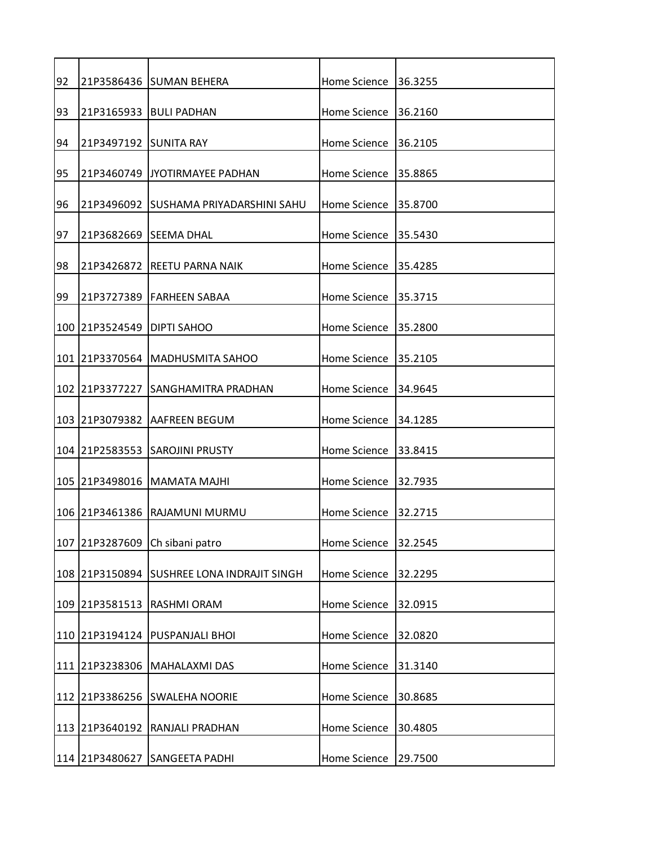| 92 |                            | 21P3586436 SUMAN BEHERA                    | Home Science         | 36.3255  |
|----|----------------------------|--------------------------------------------|----------------------|----------|
| 93 |                            | 21P3165933 BULI PADHAN                     | Home Science         | 136.2160 |
| 94 | 21P3497192 SUNITA RAY      |                                            | Home Science         | 36.2105  |
| 95 | 21P3460749                 | IJYOTIRMAYEE PADHAN                        | Home Science         | 35.8865  |
| 96 |                            | 21P3496092 ISUSHAMA PRIYADARSHINI SAHU     | Home Science         | 35.8700  |
| 97 | 21P3682669 SEEMA DHAL      |                                            | Home Science         | 35.5430  |
| 98 |                            | 21P3426872 REETU PARNA NAIK                | Home Science         | 35.4285  |
| 99 |                            | I21P3727389 IFARHEEN SABAA                 | Home Science 35.3715 |          |
|    | 100 21P3524549 DIPTI SAHOO |                                            | Home Science         | 35.2800  |
|    |                            | 101 21P3370564 MADHUSMITA SAHOO            | Home Science         | 35.2105  |
|    | 102 21P3377227             | <b>SANGHAMITRA PRADHAN</b>                 | Home Science         | 34.9645  |
|    |                            | 103 21P3079382 AAFREEN BEGUM               | Home Science         | 34.1285  |
|    |                            | 104 21P2583553 SAROJINI PRUSTY             | Home Science 33.8415 |          |
|    |                            | 105 21P3498016 MAMATA MAJHI                | Home Science         | 32.7935  |
|    |                            | 106   21 P3461386   RAJAMUNI MURMU         | Home Science         | 32.2715  |
|    |                            | 107 21P3287609 Ch sibani patro             | <b>Home Science</b>  | 32.2545  |
|    |                            | 108 21P3150894 SUSHREE LONA INDRAJIT SINGH | <b>Home Science</b>  | 32.2295  |
|    | 109 21P3581513             | RASHMI ORAM                                | <b>Home Science</b>  | 32.0915  |
|    |                            | 110 21P3194124 PUSPANJALI BHOI             | <b>Home Science</b>  | 32.0820  |
|    |                            | 111 21P3238306 MAHALAXMI DAS               | <b>Home Science</b>  | 31.3140  |
|    | 112 21P3386256             | <b>SWALEHA NOORIE</b>                      | <b>Home Science</b>  | 30.8685  |
|    | 113 21P3640192             | <b>RANJALI PRADHAN</b>                     | <b>Home Science</b>  | 30.4805  |
|    | 114 21P3480627             | <b>SANGEETA PADHI</b>                      | <b>Home Science</b>  | 29.7500  |